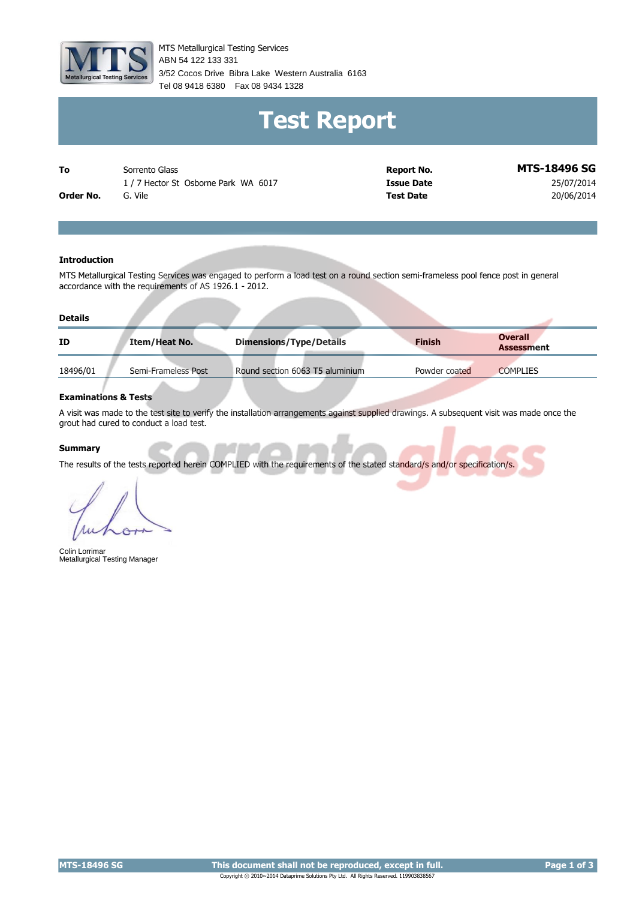

MTS Metallurgical Testing Services 3/52 Cocos Drive Bibra Lake Western Australia 6163 Tel 08 9418 6380 Fax 08 9434 1328 ABN 54 122 133 331

# **Test Report**

| To        | Sorrento Glass                     |
|-----------|------------------------------------|
|           | 1/7 Hector St Osborne Park WA 6017 |
| Order No. | G. Vile                            |

**Report No. MTS-18496 SG Issue Date** 25/07/2014 **Test Date** 20/06/2014

#### **Introduction**

MTS Metallurgical Testing Services was engaged to perform a load test on a round section semi-frameless pool fence post in general accordance with the requirements of AS 1926.1 - 2012.

#### **Details**

| ID       | Item/Heat No.       | <b>Dimensions/Type/Details</b>  | <b>Finish</b> | <b>Overall</b><br><b>Assessment</b> |
|----------|---------------------|---------------------------------|---------------|-------------------------------------|
| 18496/01 | Semi-Frameless Post | Round section 6063 T5 aluminium | Powder coated | <b>COMPLIES</b>                     |

#### **Examinations & Tests**

A visit was made to the test site to verify the installation arrangements against supplied drawings. A subsequent visit was made once the grout had cured to conduct a load test.

#### **Summary**

The results of the tests reported herein COMPLIED with the requirements of the stated standard/s and/or specification/s.

Colin Lorrimar Metallurgical Testing Manager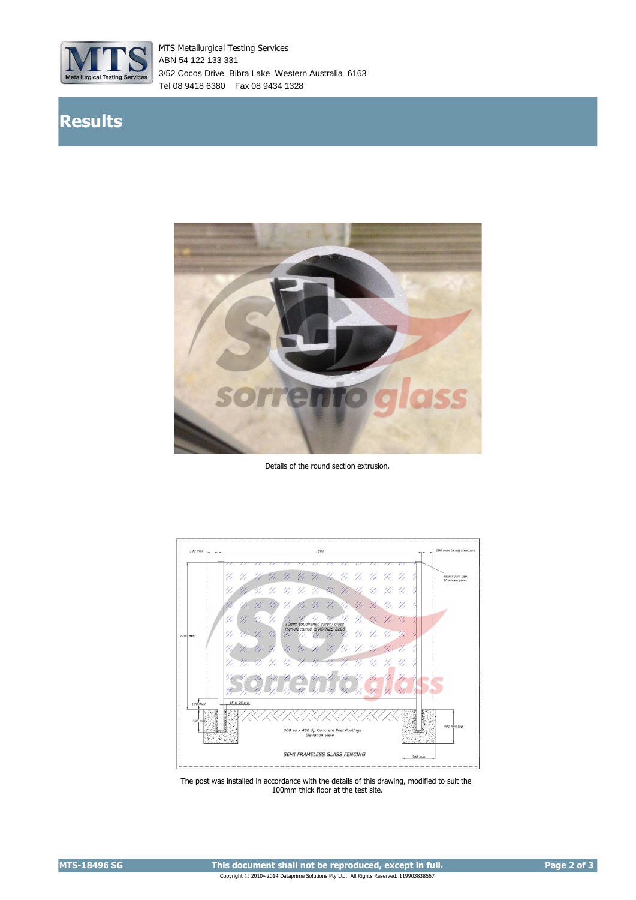

MTS Metallurgical Testing Services 3/52 Cocos Drive Bibra Lake Western Australia 6163 Tel 08 9418 6380 Fax 08 9434 1328 ABN 54 122 133 331

### **Results**



Details of the round section extrusion.



The post was installed in accordance with the details of this drawing, modified to suit the 100mm thick floor at the test site.